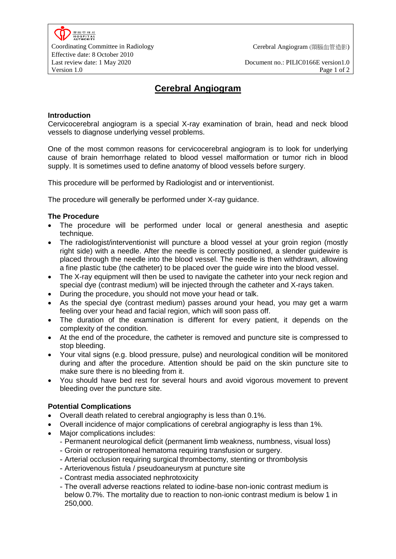Last review date: 1 May 2020 Document no.: PILIC0166E version1.0 Version 1.0 Page 1 of 2

# **Cerebral Angiogram**

### **Introduction**

Cervicocerebral angiogram is a special X-ray examination of brain, head and neck blood vessels to diagnose underlying vessel problems.

One of the most common reasons for cervicocerebral angiogram is to look for underlying cause of brain hemorrhage related to blood vessel malformation or tumor rich in blood supply. It is sometimes used to define anatomy of blood vessels before surgery.

This procedure will be performed by Radiologist and or interventionist.

The procedure will generally be performed under X-ray guidance.

#### **The Procedure**

- The procedure will be performed under local or general anesthesia and aseptic technique.
- The radiologist/interventionist will puncture a blood vessel at your groin region (mostly right side) with a needle. After the needle is correctly positioned, a slender guidewire is placed through the needle into the blood vessel. The needle is then withdrawn, allowing a fine plastic tube (the catheter) to be placed over the guide wire into the blood vessel.
- The X-ray equipment will then be used to navigate the catheter into your neck region and special dye (contrast medium) will be injected through the catheter and X-rays taken.
- During the procedure, you should not move your head or talk.
- As the special dye (contrast medium) passes around your head, you may get a warm feeling over your head and facial region, which will soon pass off.
- The duration of the examination is different for every patient, it depends on the complexity of the condition.
- At the end of the procedure, the catheter is removed and puncture site is compressed to stop bleeding.
- Your vital signs (e.g. blood pressure, pulse) and neurological condition will be monitored during and after the procedure. Attention should be paid on the skin puncture site to make sure there is no bleeding from it.
- You should have bed rest for several hours and avoid vigorous movement to prevent bleeding over the puncture site.

#### **Potential Complications**

- Overall death related to cerebral angiography is less than 0.1%.
- Overall incidence of major complications of cerebral angiography is less than 1%.
- Major complications includes:
	- Permanent neurological deficit (permanent limb weakness, numbness, visual loss)
	- Groin or retroperitoneal hematoma requiring transfusion or surgery.
	- Arterial occlusion requiring surgical thrombectomy, stenting or thrombolysis
	- Arteriovenous fistula / pseudoaneurysm at puncture site
	- Contrast media associated nephrotoxicity
	- The overall adverse reactions related to iodine-base non-ionic contrast medium is below 0.7%. The mortality due to reaction to non-ionic contrast medium is below 1 in 250,000.